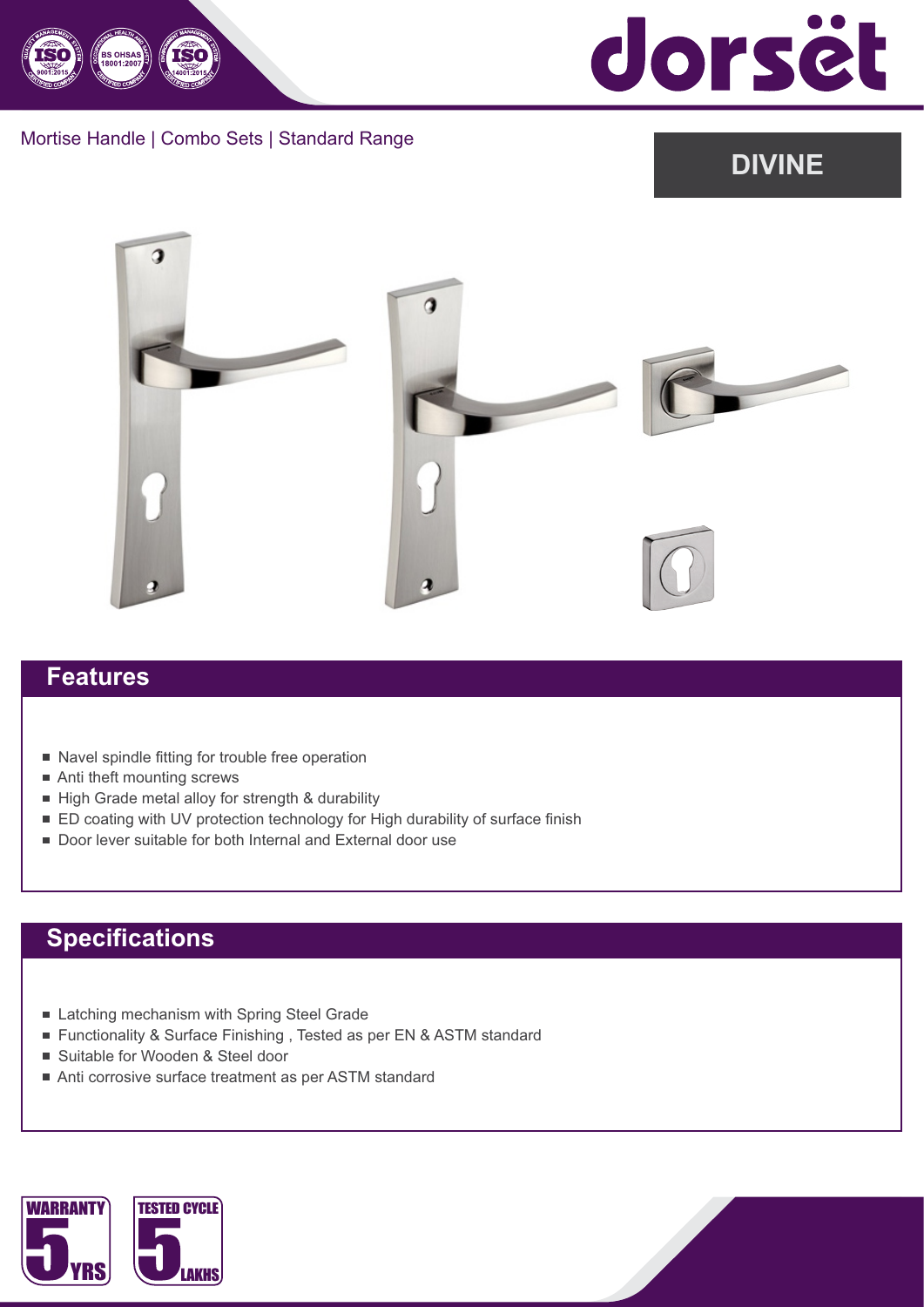

dorsët

#### Mortise Handle | Combo Sets | Standard Range

# **DIVINE**



#### **Features**

- Navel spindle fitting for trouble free operation
- Anti theft mounting screws
- High Grade metal alloy for strength & durability
- ED coating with UV protection technology for High durability of surface finish
- Door lever suitable for both Internal and External door use

### **Specifications**

- Latching mechanism with Spring Steel Grade
- Functionality & Surface Finishing, Tested as per EN & ASTM standard
- Suitable for Wooden & Steel door
- Anti corrosive surface treatment as per ASTM standard